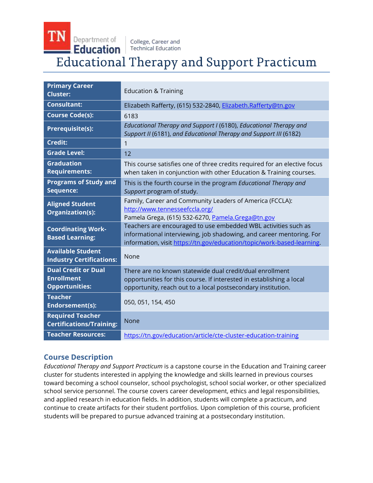Department of Education

**TN** 

College, Career and **Technical Education** 

# **Educational Therapy and Support Practicum**

| <b>Primary Career</b><br><b>Cluster:</b>                                 | <b>Education &amp; Training</b>                                                                                                                                                                                  |
|--------------------------------------------------------------------------|------------------------------------------------------------------------------------------------------------------------------------------------------------------------------------------------------------------|
| <b>Consultant:</b>                                                       | Elizabeth Rafferty, (615) 532-2840, Elizabeth.Rafferty@tn.gov                                                                                                                                                    |
| <b>Course Code(s):</b>                                                   | 6183                                                                                                                                                                                                             |
| Prerequisite(s):                                                         | Educational Therapy and Support I (6180), Educational Therapy and<br>Support II (6181), and Educational Therapy and Support III (6182)                                                                           |
| <b>Credit:</b>                                                           | 1                                                                                                                                                                                                                |
| <b>Grade Level:</b>                                                      | 12                                                                                                                                                                                                               |
| <b>Graduation</b><br><b>Requirements:</b>                                | This course satisfies one of three credits required for an elective focus<br>when taken in conjunction with other Education & Training courses.                                                                  |
| <b>Programs of Study and</b><br>Sequence:                                | This is the fourth course in the program Educational Therapy and<br>Support program of study.                                                                                                                    |
| <b>Aligned Student</b><br>Organization(s):                               | Family, Career and Community Leaders of America (FCCLA):<br>http://www.tennesseefccla.org/<br>Pamela Grega, (615) 532-6270, Pamela.Grega@tn.gov                                                                  |
| <b>Coordinating Work-</b><br><b>Based Learning:</b>                      | Teachers are encouraged to use embedded WBL activities such as<br>informational interviewing, job shadowing, and career mentoring. For<br>information, visit https://tn.gov/education/topic/work-based-learning. |
| <b>Available Student</b><br><b>Industry Certifications:</b>              | None                                                                                                                                                                                                             |
| <b>Dual Credit or Dual</b><br><b>Enrollment</b><br><b>Opportunities:</b> | There are no known statewide dual credit/dual enrollment<br>opportunities for this course. If interested in establishing a local<br>opportunity, reach out to a local postsecondary institution.                 |
| <b>Teacher</b><br><b>Endorsement(s):</b>                                 | 050, 051, 154, 450                                                                                                                                                                                               |
| <b>Required Teacher</b><br><b>Certifications/Training:</b>               | <b>None</b>                                                                                                                                                                                                      |
| <b>Teacher Resources:</b>                                                | https://tn.gov/education/article/cte-cluster-education-training                                                                                                                                                  |

# **Course Description**

*Educational Therapy and Support Practicum* is a capstone course in the Education and Training career cluster for students interested in applying the knowledge and skills learned in previous courses toward becoming a school counselor, school psychologist, school social worker, or other specialized school service personnel. The course covers career development, ethics and legal responsibilities, and applied research in education fields. In addition, students will complete a practicum, and continue to create artifacts for their student portfolios. Upon completion of this course, proficient students will be prepared to pursue advanced training at a postsecondary institution.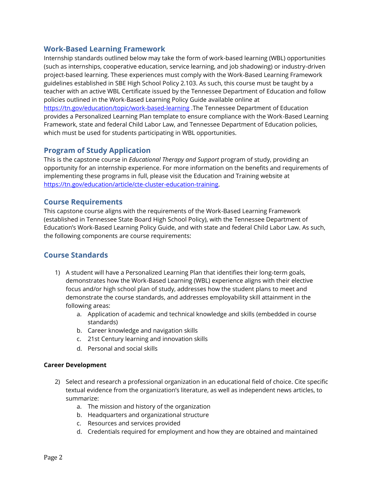## **Work-Based Learning Framework**

Internship standards outlined below may take the form of work-based learning (WBL) opportunities (such as internships, cooperative education, service learning, and job shadowing) or industry-driven project-based learning. These experiences must comply with the Work-Based Learning Framework guidelines established in SBE High School Policy 2.103. As such, this course must be taught by a teacher with an active WBL Certificate issued by the Tennessee Department of Education and follow policies outlined in the Work-Based Learning Policy Guide available online at <https://tn.gov/education/topic/work-based-learning> .The Tennessee Department of Education provides a Personalized Learning Plan template to ensure compliance with the Work-Based Learning Framework, state and federal Child Labor Law, and Tennessee Department of Education policies, which must be used for students participating in WBL opportunities.

## **Program of Study Application**

This is the capstone course in *Educational Therapy and Support* program of study, providing an opportunity for an internship experience. For more information on the benefits and requirements of implementing these programs in full, please visit the Education and Training website at [https://tn.gov/education/article/cte-cluster-education-training.](https://tn.gov/education/article/cte-cluster-education-training)

### **Course Requirements**

This capstone course aligns with the requirements of the Work-Based Learning Framework (established in Tennessee State Board High School Policy), with the Tennessee Department of Education's Work-Based Learning Policy Guide, and with state and federal Child Labor Law. As such, the following components are course requirements:

# **Course Standards**

- 1) A student will have a Personalized Learning Plan that identifies their long-term goals, demonstrates how the Work-Based Learning (WBL) experience aligns with their elective focus and/or high school plan of study, addresses how the student plans to meet and demonstrate the course standards, and addresses employability skill attainment in the following areas:
	- a. Application of academic and technical knowledge and skills (embedded in course standards)
	- b. Career knowledge and navigation skills
	- c. 21st Century learning and innovation skills
	- d. Personal and social skills

#### **Career Development**

- 2) Select and research a professional organization in an educational field of choice. Cite specific textual evidence from the organization's literature, as well as independent news articles, to summarize:
	- a. The mission and history of the organization
	- b. Headquarters and organizational structure
	- c. Resources and services provided
	- d. Credentials required for employment and how they are obtained and maintained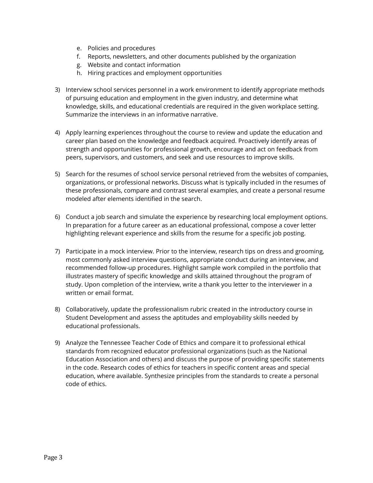- e. Policies and procedures
- f. Reports, newsletters, and other documents published by the organization
- g. Website and contact information
- h. Hiring practices and employment opportunities
- 3) Interview school services personnel in a work environment to identify appropriate methods of pursuing education and employment in the given industry, and determine what knowledge, skills, and educational credentials are required in the given workplace setting. Summarize the interviews in an informative narrative.
- 4) Apply learning experiences throughout the course to review and update the education and career plan based on the knowledge and feedback acquired. Proactively identify areas of strength and opportunities for professional growth, encourage and act on feedback from peers, supervisors, and customers, and seek and use resources to improve skills.
- 5) Search for the resumes of school service personal retrieved from the websites of companies, organizations, or professional networks. Discuss what is typically included in the resumes of these professionals, compare and contrast several examples, and create a personal resume modeled after elements identified in the search.
- 6) Conduct a job search and simulate the experience by researching local employment options. In preparation for a future career as an educational professional, compose a cover letter highlighting relevant experience and skills from the resume for a specific job posting.
- 7) Participate in a mock interview. Prior to the interview, research tips on dress and grooming, most commonly asked interview questions, appropriate conduct during an interview, and recommended follow-up procedures. Highlight sample work compiled in the portfolio that illustrates mastery of specific knowledge and skills attained throughout the program of study. Upon completion of the interview, write a thank you letter to the interviewer in a written or email format.
- 8) Collaboratively, update the professionalism rubric created in the introductory course in Student Development and assess the aptitudes and employability skills needed by educational professionals.
- 9) Analyze the Tennessee Teacher Code of Ethics and compare it to professional ethical standards from recognized educator professional organizations (such as the National Education Association and others) and discuss the purpose of providing specific statements in the code. Research codes of ethics for teachers in specific content areas and special education, where available. Synthesize principles from the standards to create a personal code of ethics.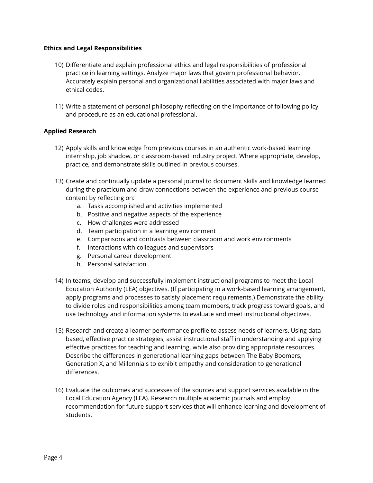#### **Ethics and Legal Responsibilities**

- 10) Differentiate and explain professional ethics and legal responsibilities of professional practice in learning settings. Analyze major laws that govern professional behavior. Accurately explain personal and organizational liabilities associated with major laws and ethical codes.
- 11) Write a statement of personal philosophy reflecting on the importance of following policy and procedure as an educational professional.

#### **Applied Research**

- 12) Apply skills and knowledge from previous courses in an authentic work-based learning internship, job shadow, or classroom-based industry project. Where appropriate, develop, practice, and demonstrate skills outlined in previous courses.
- 13) Create and continually update a personal journal to document skills and knowledge learned during the practicum and draw connections between the experience and previous course content by reflecting on:
	- a. Tasks accomplished and activities implemented
	- b. Positive and negative aspects of the experience
	- c. How challenges were addressed
	- d. Team participation in a learning environment
	- e. Comparisons and contrasts between classroom and work environments
	- f. Interactions with colleagues and supervisors
	- g. Personal career development
	- h. Personal satisfaction
- 14) In teams, develop and successfully implement instructional programs to meet the Local Education Authority (LEA) objectives. (If participating in a work-based learning arrangement, apply programs and processes to satisfy placement requirements.) Demonstrate the ability to divide roles and responsibilities among team members, track progress toward goals, and use technology and information systems to evaluate and meet instructional objectives.
- 15) Research and create a learner performance profile to assess needs of learners. Using databased, effective practice strategies, assist instructional staff in understanding and applying effective practices for teaching and learning, while also providing appropriate resources. Describe the differences in generational learning gaps between The Baby Boomers, Generation X, and Millennials to exhibit empathy and consideration to generational differences.
- 16) Evaluate the outcomes and successes of the sources and support services available in the Local Education Agency (LEA). Research multiple academic journals and employ recommendation for future support services that will enhance learning and development of students.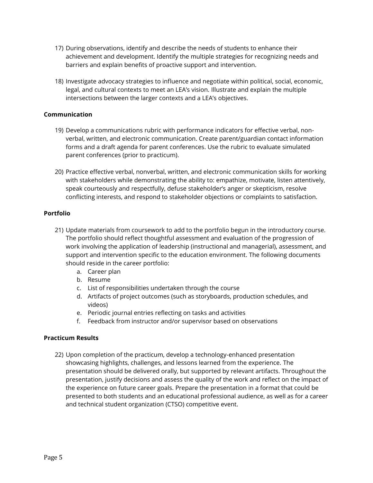- 17) During observations, identify and describe the needs of students to enhance their achievement and development. Identify the multiple strategies for recognizing needs and barriers and explain benefits of proactive support and intervention.
- 18) Investigate advocacy strategies to influence and negotiate within political, social, economic, legal, and cultural contexts to meet an LEA's vision. Illustrate and explain the multiple intersections between the larger contexts and a LEA's objectives.

#### **Communication**

- 19) Develop a communications rubric with performance indicators for effective verbal, nonverbal, written, and electronic communication. Create parent/guardian contact information forms and a draft agenda for parent conferences. Use the rubric to evaluate simulated parent conferences (prior to practicum).
- 20) Practice effective verbal, nonverbal, written, and electronic communication skills for working with stakeholders while demonstrating the ability to: empathize, motivate, listen attentively, speak courteously and respectfully, defuse stakeholder's anger or skepticism, resolve conflicting interests, and respond to stakeholder objections or complaints to satisfaction.

#### **Portfolio**

- 21) Update materials from coursework to add to the portfolio begun in the introductory course. The portfolio should reflect thoughtful assessment and evaluation of the progression of work involving the application of leadership (instructional and managerial), assessment, and support and intervention specific to the education environment. The following documents should reside in the career portfolio:
	- a. Career plan
	- b. Resume
	- c. List of responsibilities undertaken through the course
	- d. Artifacts of project outcomes (such as storyboards, production schedules, and videos)
	- e. Periodic journal entries reflecting on tasks and activities
	- f. Feedback from instructor and/or supervisor based on observations

#### **Practicum Results**

22) Upon completion of the practicum, develop a technology-enhanced presentation showcasing highlights, challenges, and lessons learned from the experience. The presentation should be delivered orally, but supported by relevant artifacts. Throughout the presentation, justify decisions and assess the quality of the work and reflect on the impact of the experience on future career goals. Prepare the presentation in a format that could be presented to both students and an educational professional audience, as well as for a career and technical student organization (CTSO) competitive event.